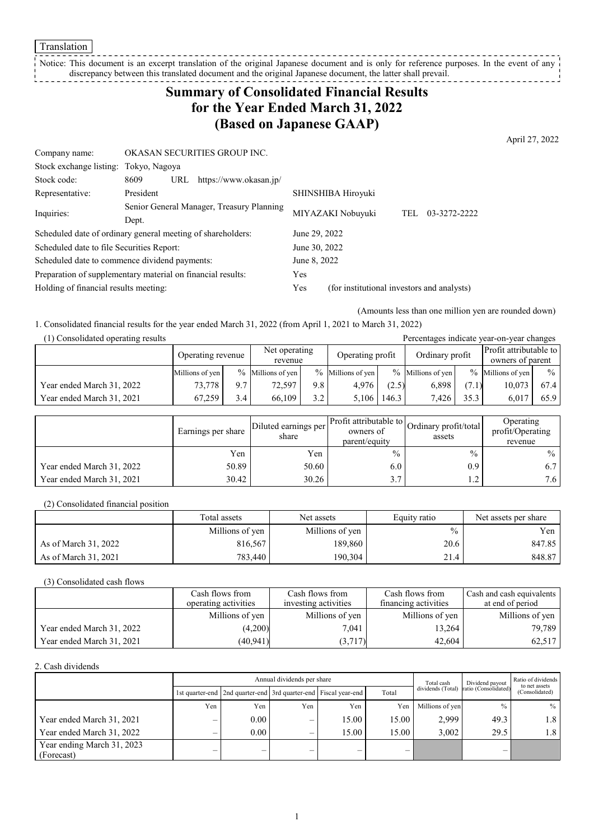**Translation** 

Notice: This document is an excerpt translation of the original Japanese document and is only for reference purposes. In the event of any discrepancy between this translated document and the original Japanese document, the latter shall prevail. <u>---------</u>

# **Summary of Consolidated Financial Results for the Year Ended March 31, 2022 (Based on Japanese GAAP)**

April 27, 2022

| Company name:                                               | OKASAN SECURITIES GROUP INC.              |                                                   |
|-------------------------------------------------------------|-------------------------------------------|---------------------------------------------------|
| Stock exchange listing: Tokyo, Nagoya                       |                                           |                                                   |
| Stock code:                                                 | 8609<br>https://www.okasan.jp/<br>URL     |                                                   |
| Representative:                                             | President                                 | SHINSHIBA Hiroyuki                                |
| Inquiries:                                                  | Senior General Manager, Treasury Planning | MIYAZAKI Nobuyuki<br>03-3272-2222<br>TEL          |
|                                                             | Dept.                                     |                                                   |
| Scheduled date of ordinary general meeting of shareholders: |                                           | June 29, 2022                                     |
| Scheduled date to file Securities Report:                   |                                           | June 30, 2022                                     |
| Scheduled date to commence dividend payments:               |                                           | June 8, 2022                                      |
| Preparation of supplementary material on financial results: |                                           | Yes                                               |
| Holding of financial results meeting:                       |                                           | Yes<br>(for institutional investors and analysts) |

(Amounts less than one million yen are rounded down)

1. Consolidated financial results for the year ended March 31, 2022 (from April 1, 2021 to March 31, 2022)

| (1) Consolidated operating results |                   |         |                      |     |                      |       |                      |                  | Percentages indicate year-on-year changes |               |
|------------------------------------|-------------------|---------|----------------------|-----|----------------------|-------|----------------------|------------------|-------------------------------------------|---------------|
|                                    | Operating revenue |         | Net operating        |     | Operating profit     |       | Ordinary profit      |                  | Profit attributable to                    |               |
|                                    |                   | revenue |                      |     |                      |       |                      | owners of parent |                                           |               |
|                                    | Millions of yen   |         | $\%$ Millions of yen |     | $\%$ Millions of yen |       | $\%$ Millions of ven |                  | $\%$ Millions of yen                      | $\frac{0}{0}$ |
| Year ended March 31, 2022          | 73.778            | 9.7     | 72.597               | 9.8 | 4.976                | (2.5) | 6,898                | (7.1)            | 10.073                                    | 67.4          |
| Year ended March 31, 2021          | 67,259            | 3.4     | 66,109               | 3.2 | 5.106                | 146.3 | 7.426                | 35.3             | 6.017                                     | 65.9          |

|                           | Earnings per share | Diluted earnings per<br>share | owners of<br>parent/equity | Profit attributable to Ordinary profit/total<br>assets | Operating<br>profit/Operating<br>revenue |
|---------------------------|--------------------|-------------------------------|----------------------------|--------------------------------------------------------|------------------------------------------|
|                           | Yen                | Yen                           | $\frac{0}{0}$              | $\frac{0}{0}$                                          | $\%$                                     |
| Year ended March 31, 2022 | 50.89              | 50.60                         | 6.0                        | 0.9                                                    | 6.7                                      |
| Year ended March 31, 2021 | 30.42              | 30.26                         | 3.7                        | 1 <sub>2</sub><br>$\overline{1}$                       | 7.6 <sub>1</sub>                         |

(2) Consolidated financial position

|                      | Total assets    | Net assets      | Equity ratio | Net assets per share |
|----------------------|-----------------|-----------------|--------------|----------------------|
|                      | Millions of yen | Millions of yen | $\%$         | Yen                  |
| As of March 31, 2022 | 816,567         | 189,860         | 20.6         | 847.85               |
| As of March 31, 2021 | 783.440         | 190,304         | 21.4         | 848.87               |

(3) Consolidated cash flows

|                           | Cash flows from      | Cash flows from      | Cash flows from      | Cash and cash equivalents |
|---------------------------|----------------------|----------------------|----------------------|---------------------------|
|                           | operating activities | investing activities | financing activities | at end of period          |
|                           | Millions of yen      | Millions of yen      | Millions of yen      | Millions of yen           |
| Year ended March 31, 2022 | (4,200)              | 7.041                | 13,264               | 79.789                    |
| Year ended March 31, 2021 | (40, 941)            | (3,717)              | 42,604               | 62,517                    |

2. Cash dividends

|                                          |     | Annual dividends per share                                      |     |       |       |                 | Dividend payout                        | Ratio of dividends<br>to net assets |
|------------------------------------------|-----|-----------------------------------------------------------------|-----|-------|-------|-----------------|----------------------------------------|-------------------------------------|
|                                          |     | 1st quarter-end 2nd quarter-end 3rd quarter-end Fiscal year-end |     |       | Total |                 | dividends (Total) ratio (Consolidated) | (Consolidated)                      |
|                                          | Yen | Yen                                                             | Yen | Yen   | Yen   | Millions of yen | $\frac{0}{0}$                          | $\%$                                |
| Year ended March 31, 2021                |     | 0.00                                                            | —   | 15.00 | 15.00 | 2.999           | 49.3                                   | 1.8                                 |
| Year ended March 31, 2022                |     | 0.00                                                            | —   | 15.00 | 15.00 | 3.002           | 29.5                                   | 1.8                                 |
| Year ending March 31, 2023<br>(Forecast) |     | -                                                               | –   | —     | —     |                 |                                        |                                     |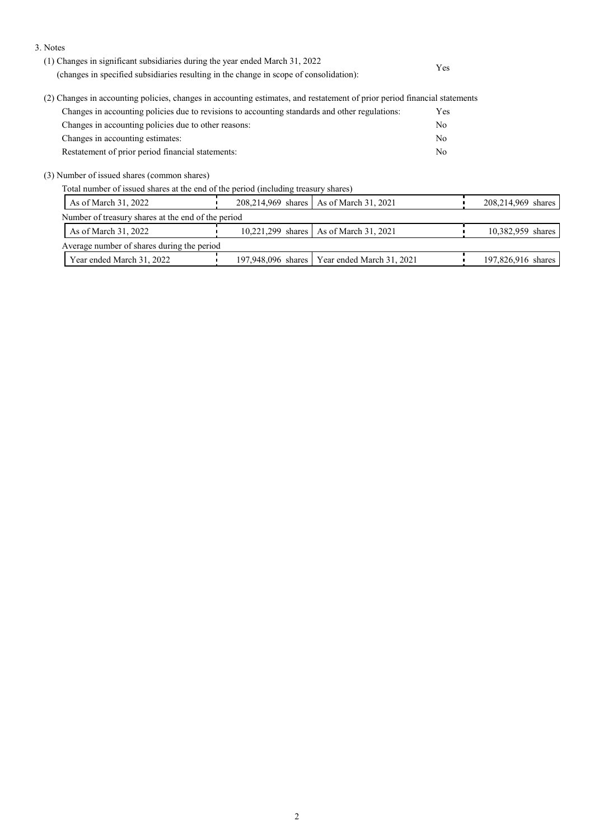3. Notes

|                                                                                                                                                                                                                                                                                                                                                                | Yes |
|----------------------------------------------------------------------------------------------------------------------------------------------------------------------------------------------------------------------------------------------------------------------------------------------------------------------------------------------------------------|-----|
| (2) Changes in accounting policies, changes in accounting estimates, and restatement of prior period financial statements<br>$\alpha$ . The set of the set of the set of the set of the set of the set of the set of the set of the set of the set of the set of the set of the set of the set of the set of the set of the set of the set of the set of the s |     |

| Changes in accounting policies due to revisions to accounting standards and other regulations: | Yes |
|------------------------------------------------------------------------------------------------|-----|
| Changes in accounting policies due to other reasons:                                           | No. |
| Changes in accounting estimates:                                                               | No. |
| Restatement of prior period financial statements:                                              | No. |

(3) Number of issued shares (common shares)

Total number of issued shares at the end of the period (including treasury shares)

| As of March 31, 2022                               | 208,214,969 shares   As of March 31, 2021      | 208,214,969 shares |
|----------------------------------------------------|------------------------------------------------|--------------------|
| Number of treasury shares at the end of the period |                                                |                    |
| As of March 31, 2022                               | 10,221,299 shares   As of March 31, 2021       | 10,382,959 shares  |
| Average number of shares during the period         |                                                |                    |
| Year ended March 31, 2022                          | 197,948,096 shares   Year ended March 31, 2021 | 197,826,916 shares |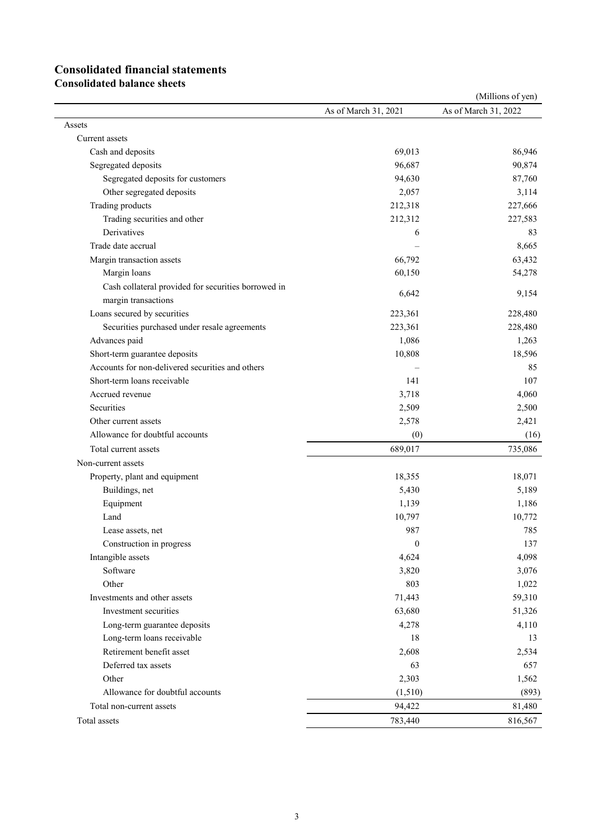# **Consolidated financial statements**

**Consolidated balance sheets**

|                                                     |                      | (Millions of yen)    |
|-----------------------------------------------------|----------------------|----------------------|
|                                                     | As of March 31, 2021 | As of March 31, 2022 |
| Assets                                              |                      |                      |
| Current assets                                      |                      |                      |
| Cash and deposits                                   | 69,013               | 86,946               |
| Segregated deposits                                 | 96,687               | 90,874               |
| Segregated deposits for customers                   | 94,630               | 87,760               |
| Other segregated deposits                           | 2,057                | 3,114                |
| Trading products                                    | 212,318              | 227,666              |
| Trading securities and other                        | 212,312              | 227,583              |
| Derivatives                                         | 6                    | 83                   |
| Trade date accrual                                  |                      | 8,665                |
| Margin transaction assets                           | 66,792               | 63,432               |
| Margin loans                                        | 60,150               | 54,278               |
| Cash collateral provided for securities borrowed in |                      |                      |
| margin transactions                                 | 6,642                | 9,154                |
| Loans secured by securities                         | 223,361              | 228,480              |
| Securities purchased under resale agreements        | 223,361              | 228,480              |
| Advances paid                                       | 1,086                | 1,263                |
| Short-term guarantee deposits                       | 10,808               | 18,596               |
| Accounts for non-delivered securities and others    |                      | 85                   |
| Short-term loans receivable                         | 141                  | 107                  |
| Accrued revenue                                     | 3,718                | 4,060                |
| Securities                                          | 2,509                | 2,500                |
| Other current assets                                | 2,578                | 2,421                |
| Allowance for doubtful accounts                     | (0)                  | (16)                 |
| Total current assets                                | 689,017              | 735,086              |
|                                                     |                      |                      |
| Non-current assets                                  |                      |                      |
| Property, plant and equipment                       | 18,355               | 18,071               |
| Buildings, net                                      | 5,430                | 5,189                |
| Equipment                                           | 1,139                | 1,186                |
| Land                                                | 10,797               | 10,772               |
| Lease assets, net                                   | 987                  | 785                  |
| Construction in progress                            | $\boldsymbol{0}$     | 137                  |
| Intangible assets                                   | 4,624                | 4,098                |
| Software                                            | 3,820                | 3,076                |
| Other                                               | 803                  | 1,022                |
| Investments and other assets                        | 71,443               | 59,310               |
| Investment securities                               | 63,680               | 51,326               |
| Long-term guarantee deposits                        | 4,278                | 4,110                |
| Long-term loans receivable                          | 18                   | 13                   |
| Retirement benefit asset                            | 2,608                | 2,534                |
| Deferred tax assets                                 | 63                   | 657                  |
| Other                                               | 2,303                | 1,562                |
| Allowance for doubtful accounts                     | (1,510)              | (893)                |
| Total non-current assets                            | 94,422               | 81,480               |
| Total assets                                        | 783,440              | 816,567              |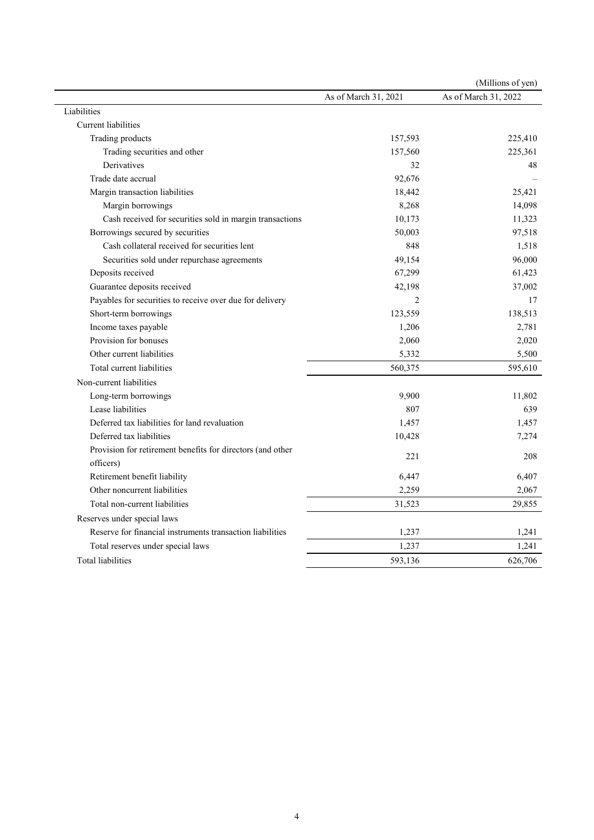|                                                            |                      | (Millions of yen)    |
|------------------------------------------------------------|----------------------|----------------------|
|                                                            | As of March 31, 2021 | As of March 31, 2022 |
| Liabilities                                                |                      |                      |
| Current liabilities                                        |                      |                      |
| Trading products                                           | 157,593              | 225,410              |
| Trading securities and other                               | 157,560              | 225,361              |
| Derivatives                                                | 32                   | 48                   |
| Trade date accrual                                         | 92,676               |                      |
| Margin transaction liabilities                             | 18,442               | 25,421               |
| Margin borrowings                                          | 8,268                | 14,098               |
| Cash received for securities sold in margin transactions   | 10,173               | 11,323               |
| Borrowings secured by securities                           | 50,003               | 97,518               |
| Cash collateral received for securities lent               | 848                  | 1,518                |
| Securities sold under repurchase agreements                | 49,154               | 96,000               |
| Deposits received                                          | 67,299               | 61,423               |
| Guarantee deposits received                                | 42,198               | 37,002               |
| Payables for securities to receive over due for delivery   | $\overline{2}$       | 17                   |
| Short-term borrowings                                      | 123,559              | 138,513              |
| Income taxes payable                                       | 1,206                | 2,781                |
| Provision for bonuses                                      | 2,060                | 2,020                |
| Other current liabilities                                  | 5,332                | 5,500                |
| Total current liabilities                                  | 560,375              | 595,610              |
| Non-current liabilities                                    |                      |                      |
| Long-term borrowings                                       | 9,900                | 11,802               |
| Lease liabilities                                          | 807                  | 639                  |
| Deferred tax liabilities for land revaluation              | 1,457                | 1,457                |
| Deferred tax liabilities                                   | 10,428               | 7,274                |
| Provision for retirement benefits for directors (and other |                      |                      |
| officers)                                                  | 221                  | 208                  |
| Retirement benefit liability                               | 6,447                | 6,407                |
| Other noncurrent liabilities                               | 2,259                | 2,067                |
| Total non-current liabilities                              | 31,523               | 29,855               |
| Reserves under special laws                                |                      |                      |
| Reserve for financial instruments transaction liabilities  | 1,237                | 1,241                |
| Total reserves under special laws                          | 1,237                | 1,241                |
| <b>Total liabilities</b>                                   | 593,136              | 626,706              |
|                                                            |                      |                      |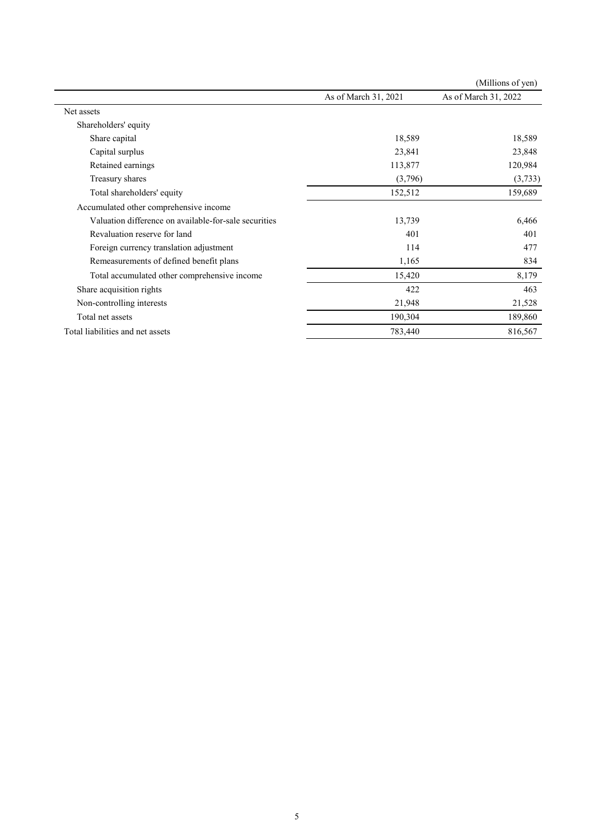|                                                       |                      | (Millions of yen)    |
|-------------------------------------------------------|----------------------|----------------------|
|                                                       | As of March 31, 2021 | As of March 31, 2022 |
| Net assets                                            |                      |                      |
| Shareholders' equity                                  |                      |                      |
| Share capital                                         | 18,589               | 18,589               |
| Capital surplus                                       | 23,841               | 23,848               |
| Retained earnings                                     | 113,877              | 120,984              |
| Treasury shares                                       | (3,796)              | (3,733)              |
| Total shareholders' equity                            | 152,512              | 159,689              |
| Accumulated other comprehensive income                |                      |                      |
| Valuation difference on available-for-sale securities | 13,739               | 6,466                |
| Revaluation reserve for land                          | 401                  | 401                  |
| Foreign currency translation adjustment               | 114                  | 477                  |
| Remeasurements of defined benefit plans               | 1,165                | 834                  |
| Total accumulated other comprehensive income          | 15,420               | 8,179                |
| Share acquisition rights                              | 422                  | 463                  |
| Non-controlling interests                             | 21,948               | 21,528               |
| Total net assets                                      | 190,304              | 189,860              |
| Total liabilities and net assets                      | 783,440              | 816,567              |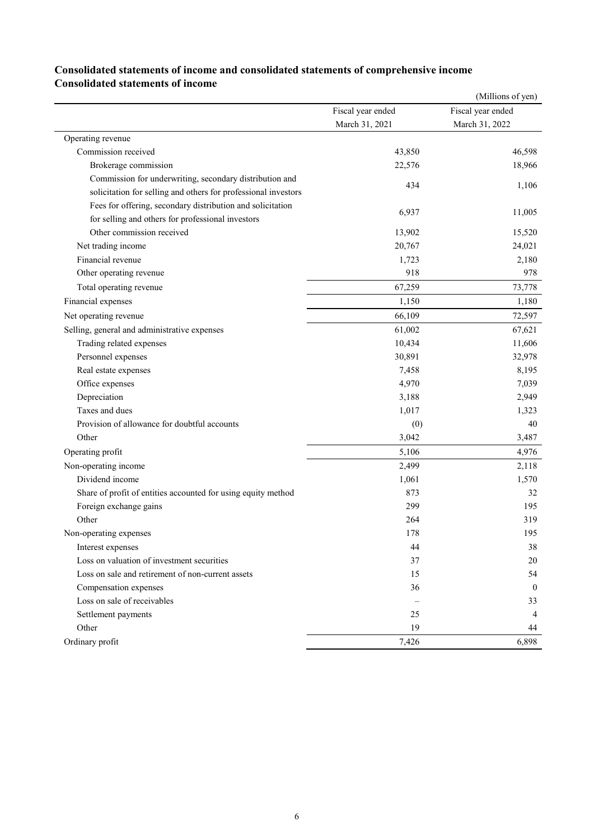## **Consolidated statements of income and consolidated statements of comprehensive income Consolidated statements of income**

|                                                                |                   | (Millions of yen) |
|----------------------------------------------------------------|-------------------|-------------------|
|                                                                | Fiscal year ended | Fiscal year ended |
|                                                                | March 31, 2021    | March 31, 2022    |
| Operating revenue                                              |                   |                   |
| Commission received                                            | 43,850            | 46,598            |
| Brokerage commission                                           | 22,576            | 18,966            |
| Commission for underwriting, secondary distribution and        | 434               |                   |
| solicitation for selling and others for professional investors |                   | 1,106             |
| Fees for offering, secondary distribution and solicitation     | 6,937             |                   |
| for selling and others for professional investors              |                   | 11,005            |
| Other commission received                                      | 13,902            | 15,520            |
| Net trading income                                             | 20,767            | 24,021            |
| Financial revenue                                              | 1,723             | 2,180             |
| Other operating revenue                                        | 918               | 978               |
| Total operating revenue                                        | 67,259            | 73,778            |
| Financial expenses                                             | 1,150             | 1,180             |
| Net operating revenue                                          | 66,109            | 72,597            |
| Selling, general and administrative expenses                   | 61,002            | 67,621            |
| Trading related expenses                                       | 10,434            | 11,606            |
| Personnel expenses                                             | 30,891            | 32,978            |
| Real estate expenses                                           | 7,458             | 8,195             |
| Office expenses                                                | 4,970             | 7,039             |
| Depreciation                                                   | 3,188             | 2,949             |
| Taxes and dues                                                 | 1,017             | 1,323             |
| Provision of allowance for doubtful accounts                   | (0)               | 40                |
| Other                                                          | 3,042             | 3,487             |
| Operating profit                                               | 5,106             | 4,976             |
| Non-operating income                                           | 2,499             | 2,118             |
| Dividend income                                                | 1,061             | 1,570             |
| Share of profit of entities accounted for using equity method  | 873               | 32                |
| Foreign exchange gains                                         | 299               | 195               |
| Other                                                          | 264               | 319               |
| Non-operating expenses                                         | 178               | 195               |
| Interest expenses                                              | 44                | 38                |
| Loss on valuation of investment securities                     | 37                | 20                |
| Loss on sale and retirement of non-current assets              | 15                | 54                |
| Compensation expenses                                          | 36                | $\theta$          |
| Loss on sale of receivables                                    |                   | 33                |
| Settlement payments                                            | 25                | 4                 |
| Other                                                          | 19                | 44                |
| Ordinary profit                                                | 7,426             | 6,898             |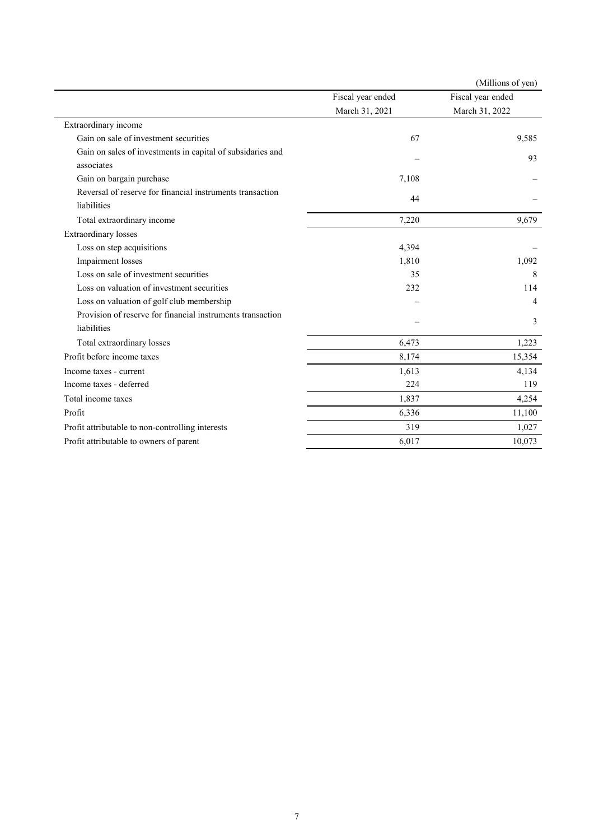|                                                            |                   | (Millions of yen) |
|------------------------------------------------------------|-------------------|-------------------|
|                                                            | Fiscal year ended | Fiscal year ended |
|                                                            | March 31, 2021    | March 31, 2022    |
| Extraordinary income                                       |                   |                   |
| Gain on sale of investment securities                      | 67                | 9,585             |
| Gain on sales of investments in capital of subsidaries and |                   | 93                |
| associates                                                 |                   |                   |
| Gain on bargain purchase                                   | 7,108             |                   |
| Reversal of reserve for financial instruments transaction  | 44                |                   |
| liabilities                                                |                   |                   |
| Total extraordinary income                                 | 7,220             | 9,679             |
| <b>Extraordinary</b> losses                                |                   |                   |
| Loss on step acquisitions                                  | 4,394             |                   |
| Impairment losses                                          | 1,810             | 1,092             |
| Loss on sale of investment securities                      | 35                | 8                 |
| Loss on valuation of investment securities                 | 232               | 114               |
| Loss on valuation of golf club membership                  |                   | 4                 |
| Provision of reserve for financial instruments transaction |                   | 3                 |
| liabilities                                                |                   |                   |
| Total extraordinary losses                                 | 6,473             | 1,223             |
| Profit before income taxes                                 | 8,174             | 15,354            |
| Income taxes - current                                     | 1,613             | 4,134             |
| Income taxes - deferred                                    | 224               | 119               |
| Total income taxes                                         | 1,837             | 4,254             |
| Profit                                                     | 6,336             | 11,100            |
| Profit attributable to non-controlling interests           | 319               | 1,027             |
| Profit attributable to owners of parent                    | 6,017             | 10,073            |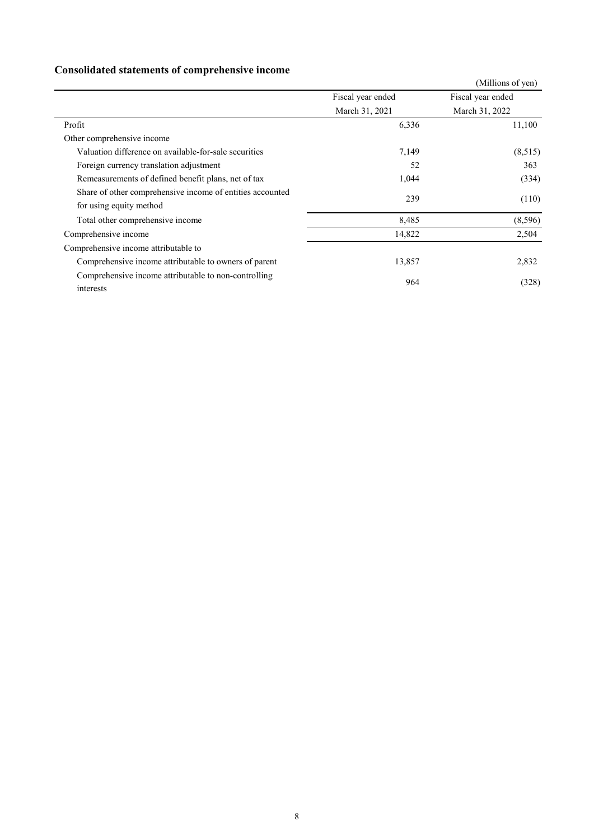## **Consolidated statements of comprehensive income**

|                                                                                      |                   | (Millions of yen) |
|--------------------------------------------------------------------------------------|-------------------|-------------------|
|                                                                                      | Fiscal year ended | Fiscal year ended |
|                                                                                      | March 31, 2021    | March 31, 2022    |
| Profit                                                                               | 6,336             | 11,100            |
| Other comprehensive income                                                           |                   |                   |
| Valuation difference on available-for-sale securities                                | 7,149             | (8,515)           |
| Foreign currency translation adjustment                                              | 52                | 363               |
| Remeasurements of defined benefit plans, net of tax                                  | 1,044             | (334)             |
| Share of other comprehensive income of entities accounted<br>for using equity method | 239               | (110)             |
| Total other comprehensive income                                                     | 8,485             | (8,596)           |
| Comprehensive income                                                                 | 14,822            | 2,504             |
| Comprehensive income attributable to                                                 |                   |                   |
| Comprehensive income attributable to owners of parent                                | 13,857            | 2,832             |
| Comprehensive income attributable to non-controlling<br>interests                    | 964               | (328)             |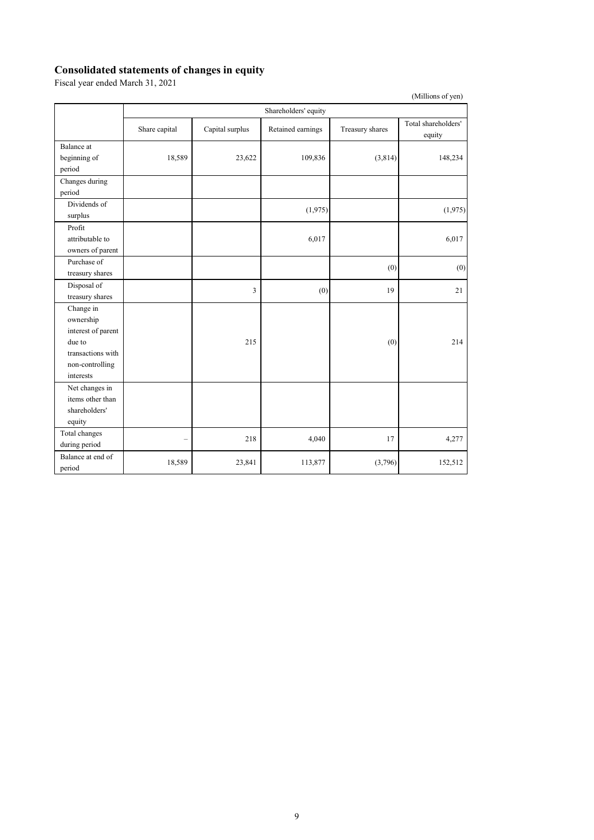### **Consolidated statements of changes in equity**

Fiscal year ended March 31, 2021

|                    |                      |                 |                   |                 | (Millions of yen)             |  |
|--------------------|----------------------|-----------------|-------------------|-----------------|-------------------------------|--|
|                    | Shareholders' equity |                 |                   |                 |                               |  |
|                    | Share capital        | Capital surplus | Retained earnings | Treasury shares | Total shareholders'<br>equity |  |
| Balance at         |                      |                 |                   |                 |                               |  |
| beginning of       | 18,589               | 23,622          | 109,836           | (3,814)         | 148,234                       |  |
| period             |                      |                 |                   |                 |                               |  |
| Changes during     |                      |                 |                   |                 |                               |  |
| period             |                      |                 |                   |                 |                               |  |
| Dividends of       |                      |                 | (1,975)           |                 | (1,975)                       |  |
| surplus            |                      |                 |                   |                 |                               |  |
| Profit             |                      |                 |                   |                 |                               |  |
| attributable to    |                      |                 | 6,017             |                 | 6,017                         |  |
| owners of parent   |                      |                 |                   |                 |                               |  |
| Purchase of        |                      |                 |                   | (0)             | (0)                           |  |
| treasury shares    |                      |                 |                   |                 |                               |  |
| Disposal of        |                      | 3               | (0)               | 19              | 21                            |  |
| treasury shares    |                      |                 |                   |                 |                               |  |
| Change in          |                      |                 |                   |                 |                               |  |
| ownership          |                      |                 |                   |                 |                               |  |
| interest of parent |                      |                 |                   |                 |                               |  |
| due to             |                      | 215             |                   | (0)             | 214                           |  |
| transactions with  |                      |                 |                   |                 |                               |  |
| non-controlling    |                      |                 |                   |                 |                               |  |
| interests          |                      |                 |                   |                 |                               |  |
| Net changes in     |                      |                 |                   |                 |                               |  |
| items other than   |                      |                 |                   |                 |                               |  |
| shareholders'      |                      |                 |                   |                 |                               |  |
| equity             |                      |                 |                   |                 |                               |  |
| Total changes      |                      | 218             | 4,040             | 17              | 4,277                         |  |
| during period      |                      |                 |                   |                 |                               |  |
| Balance at end of  | 18,589               | 23,841          | 113,877           | (3,796)         | 152,512                       |  |
| period             |                      |                 |                   |                 |                               |  |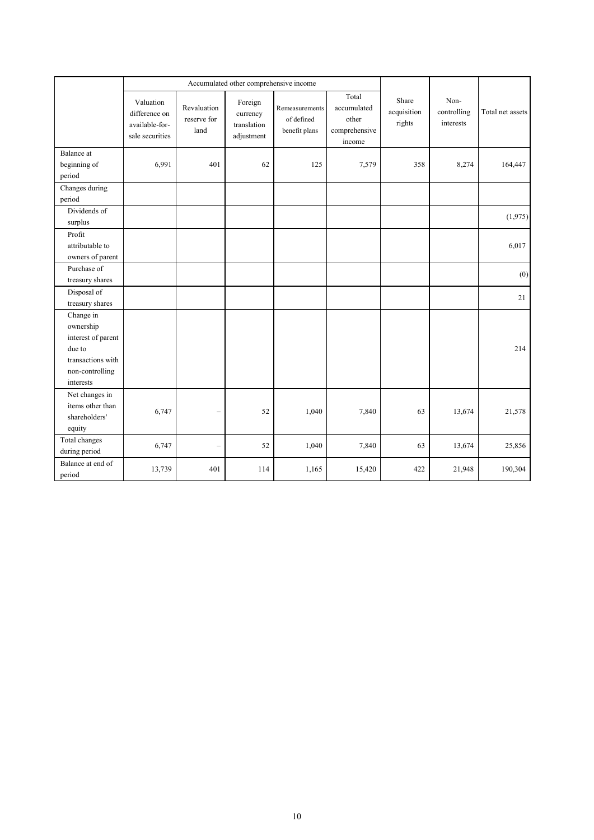|                                                                                                             | Accumulated other comprehensive income                          |                                    |                                                  |                                               |                                                          |                                |                                  |                  |
|-------------------------------------------------------------------------------------------------------------|-----------------------------------------------------------------|------------------------------------|--------------------------------------------------|-----------------------------------------------|----------------------------------------------------------|--------------------------------|----------------------------------|------------------|
|                                                                                                             | Valuation<br>difference on<br>available-for-<br>sale securities | Revaluation<br>reserve for<br>land | Foreign<br>currency<br>translation<br>adjustment | Remeasurements<br>of defined<br>benefit plans | Total<br>accumulated<br>other<br>comprehensive<br>income | Share<br>acquisition<br>rights | Non-<br>controlling<br>interests | Total net assets |
| Balance at<br>beginning of<br>period                                                                        | 6,991                                                           | 401                                | 62                                               | 125                                           | 7,579                                                    | 358                            | 8,274                            | 164,447          |
| Changes during<br>period                                                                                    |                                                                 |                                    |                                                  |                                               |                                                          |                                |                                  |                  |
| Dividends of<br>surplus                                                                                     |                                                                 |                                    |                                                  |                                               |                                                          |                                |                                  | (1,975)          |
| Profit<br>attributable to<br>owners of parent                                                               |                                                                 |                                    |                                                  |                                               |                                                          |                                |                                  | 6,017            |
| Purchase of<br>treasury shares                                                                              |                                                                 |                                    |                                                  |                                               |                                                          |                                |                                  | (0)              |
| Disposal of<br>treasury shares                                                                              |                                                                 |                                    |                                                  |                                               |                                                          |                                |                                  | 21               |
| Change in<br>ownership<br>interest of parent<br>due to<br>transactions with<br>non-controlling<br>interests |                                                                 |                                    |                                                  |                                               |                                                          |                                |                                  | 214              |
| Net changes in<br>items other than<br>shareholders'<br>equity                                               | 6,747                                                           |                                    | 52                                               | 1,040                                         | 7,840                                                    | 63                             | 13,674                           | 21,578           |
| Total changes<br>during period                                                                              | 6,747                                                           | ÷                                  | 52                                               | 1,040                                         | 7,840                                                    | 63                             | 13,674                           | 25,856           |
| Balance at end of<br>period                                                                                 | 13,739                                                          | 401                                | 114                                              | 1,165                                         | 15,420                                                   | 422                            | 21,948                           | 190,304          |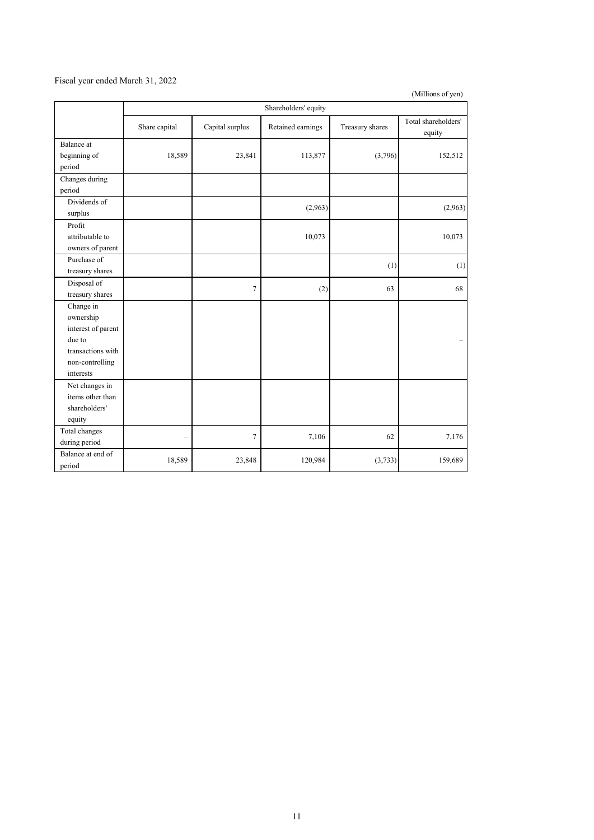### Fiscal year ended March 31, 2022

(Millions of yen)

|                                                                                                             |                          |                 | Shareholders' equity |                 |                               |
|-------------------------------------------------------------------------------------------------------------|--------------------------|-----------------|----------------------|-----------------|-------------------------------|
|                                                                                                             | Share capital            | Capital surplus | Retained earnings    | Treasury shares | Total shareholders'<br>equity |
| Balance at<br>beginning of<br>period                                                                        | 18,589                   | 23,841          | 113,877              | (3,796)         | 152,512                       |
| Changes during<br>period                                                                                    |                          |                 |                      |                 |                               |
| Dividends of<br>surplus                                                                                     |                          |                 | (2,963)              |                 | (2,963)                       |
| Profit<br>attributable to<br>owners of parent                                                               |                          |                 | 10,073               |                 | 10,073                        |
| Purchase of<br>treasury shares                                                                              |                          |                 |                      | (1)             | (1)                           |
| Disposal of<br>treasury shares                                                                              |                          | $\overline{7}$  | (2)                  | 63              | 68                            |
| Change in<br>ownership<br>interest of parent<br>due to<br>transactions with<br>non-controlling<br>interests |                          |                 |                      |                 |                               |
| Net changes in<br>items other than<br>shareholders'<br>equity                                               |                          |                 |                      |                 |                               |
| Total changes<br>during period                                                                              | $\overline{\phantom{0}}$ | $\tau$          | 7,106                | 62              | 7,176                         |
| Balance at end of<br>period                                                                                 | 18,589                   | 23,848          | 120,984              | (3,733)         | 159,689                       |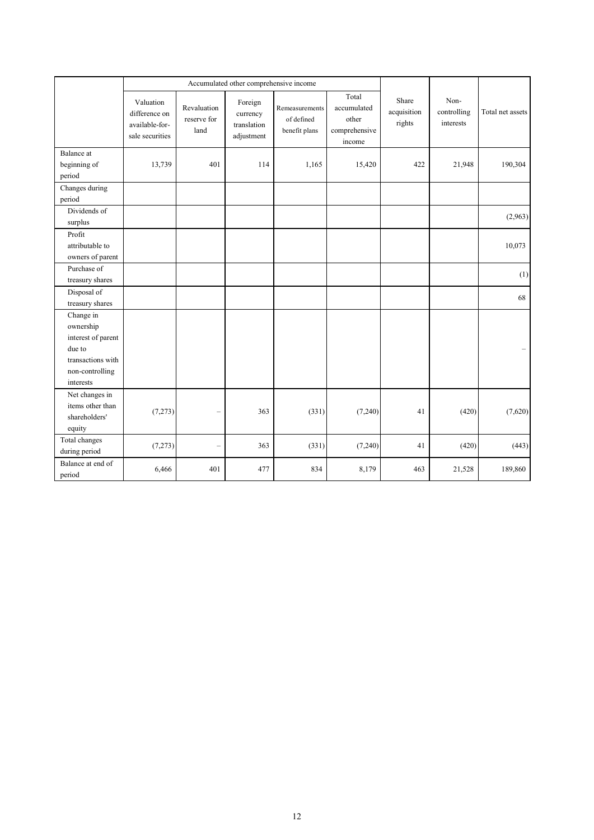|                                                                                                             | Accumulated other comprehensive income                          |                                    |                                                  |                                               |                                                          |                                |                                  |                  |
|-------------------------------------------------------------------------------------------------------------|-----------------------------------------------------------------|------------------------------------|--------------------------------------------------|-----------------------------------------------|----------------------------------------------------------|--------------------------------|----------------------------------|------------------|
|                                                                                                             | Valuation<br>difference on<br>available-for-<br>sale securities | Revaluation<br>reserve for<br>land | Foreign<br>currency<br>translation<br>adjustment | Remeasurements<br>of defined<br>benefit plans | Total<br>accumulated<br>other<br>comprehensive<br>income | Share<br>acquisition<br>rights | Non-<br>controlling<br>interests | Total net assets |
| Balance at<br>beginning of<br>period                                                                        | 13,739                                                          | 401                                | 114                                              | 1,165                                         | 15,420                                                   | 422                            | 21,948                           | 190,304          |
| Changes during<br>period                                                                                    |                                                                 |                                    |                                                  |                                               |                                                          |                                |                                  |                  |
| Dividends of<br>surplus                                                                                     |                                                                 |                                    |                                                  |                                               |                                                          |                                |                                  | (2,963)          |
| Profit<br>attributable to<br>owners of parent                                                               |                                                                 |                                    |                                                  |                                               |                                                          |                                |                                  | 10,073           |
| Purchase of<br>treasury shares                                                                              |                                                                 |                                    |                                                  |                                               |                                                          |                                |                                  | (1)              |
| Disposal of<br>treasury shares                                                                              |                                                                 |                                    |                                                  |                                               |                                                          |                                |                                  | 68               |
| Change in<br>ownership<br>interest of parent<br>due to<br>transactions with<br>non-controlling<br>interests |                                                                 |                                    |                                                  |                                               |                                                          |                                |                                  |                  |
| Net changes in<br>items other than<br>shareholders'<br>equity                                               | (7,273)                                                         |                                    | 363                                              | (331)                                         | (7,240)                                                  | 41                             | (420)                            | (7,620)          |
| Total changes<br>during period                                                                              | (7,273)                                                         | ÷                                  | 363                                              | (331)                                         | (7,240)                                                  | 41                             | (420)                            | (443)            |
| Balance at end of<br>period                                                                                 | 6,466                                                           | 401                                | 477                                              | 834                                           | 8,179                                                    | 463                            | 21,528                           | 189,860          |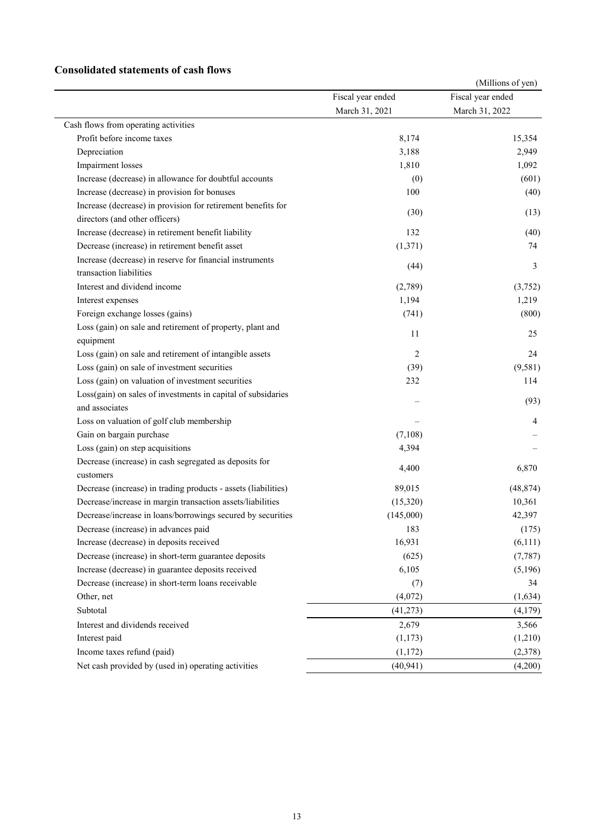### **Consolidated statements of cash flows**

|                                                                |                   | (Millions of yen) |
|----------------------------------------------------------------|-------------------|-------------------|
|                                                                | Fiscal year ended | Fiscal year ended |
|                                                                | March 31, 2021    | March 31, 2022    |
| Cash flows from operating activities                           |                   |                   |
| Profit before income taxes                                     | 8,174             | 15,354            |
| Depreciation                                                   | 3,188             | 2,949             |
| Impairment losses                                              | 1,810             | 1,092             |
| Increase (decrease) in allowance for doubtful accounts         | (0)               | (601)             |
| Increase (decrease) in provision for bonuses                   | 100               | (40)              |
| Increase (decrease) in provision for retirement benefits for   |                   |                   |
| directors (and other officers)                                 | (30)              | (13)              |
| Increase (decrease) in retirement benefit liability            | 132               | (40)              |
| Decrease (increase) in retirement benefit asset                | (1,371)           | 74                |
| Increase (decrease) in reserve for financial instruments       |                   |                   |
| transaction liabilities                                        | (44)              | 3                 |
| Interest and dividend income                                   | (2,789)           | (3,752)           |
| Interest expenses                                              | 1,194             | 1,219             |
| Foreign exchange losses (gains)                                | (741)             | (800)             |
| Loss (gain) on sale and retirement of property, plant and      |                   |                   |
| equipment                                                      | 11                | 25                |
| Loss (gain) on sale and retirement of intangible assets        | 2                 | 24                |
| Loss (gain) on sale of investment securities                   | (39)              | (9, 581)          |
| Loss (gain) on valuation of investment securities              | 232               | 114               |
| Loss(gain) on sales of investments in capital of subsidaries   |                   |                   |
| and associates                                                 |                   | (93)              |
| Loss on valuation of golf club membership                      |                   | 4                 |
| Gain on bargain purchase                                       | (7,108)           |                   |
| Loss (gain) on step acquisitions                               | 4,394             |                   |
| Decrease (increase) in cash segregated as deposits for         |                   |                   |
| customers                                                      | 4,400             | 6,870             |
| Decrease (increase) in trading products - assets (liabilities) | 89,015            | (48, 874)         |
| Decrease/increase in margin transaction assets/liabilities     | (15,320)          | 10,361            |
| Decrease/increase in loans/borrowings secured by securities    | (145,000)         | 42,397            |
| Decrease (increase) in advances paid                           | 183               | (175)             |
| Increase (decrease) in deposits received                       | 16,931            | (6,111)           |
| Decrease (increase) in short-term guarantee deposits           | (625)             | (7, 787)          |
| Increase (decrease) in guarantee deposits received             | 6,105             | (5,196)           |
| Decrease (increase) in short-term loans receivable             | (7)               | 34                |
| Other, net                                                     | (4,072)           | (1,634)           |
| Subtotal                                                       | (41, 273)         | (4,179)           |
| Interest and dividends received                                | 2,679             | 3,566             |
| Interest paid                                                  | (1,173)           | (1,210)           |
| Income taxes refund (paid)                                     | (1,172)           | (2,378)           |
| Net cash provided by (used in) operating activities            | (40, 941)         | (4,200)           |